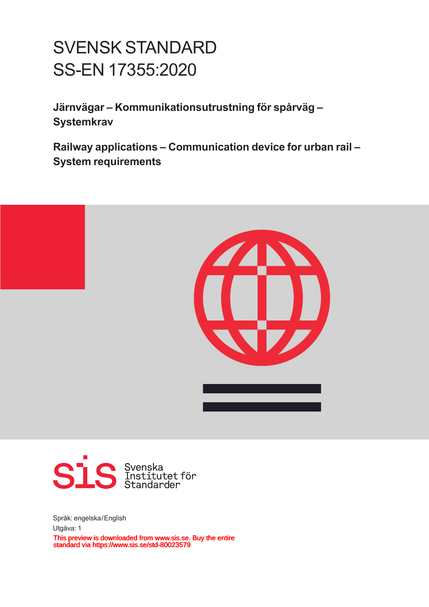# SS-EN 17355:2020 SVENSK STANDARD

**Järnvägar – Kommunikationsutrustning för spårväg – Systemkrav**

**Railway applications – Communication device for urban rail – System requirements**





Språk: engelska/English Utgåva: 1 This preview is downloaded from www.sis.se. Buy the entire standard via https://www.sis.se/std-80023579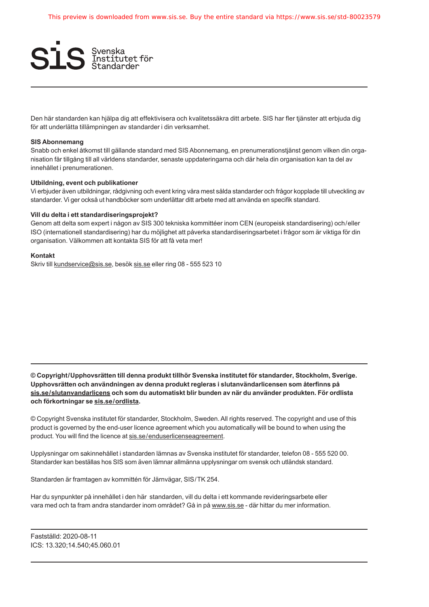

Den här standarden kan hjälpa dig att effektivisera och kvalitetssäkra ditt arbete. SIS har fler tjänster att erbjuda dig för att underlätta tillämpningen av standarder i din verksamhet.

#### **SIS Abonnemang**

Snabb och enkel åtkomst till gällande standard med SIS Abonnemang, en prenumerationstjänst genom vilken din organisation får tillgång till all världens standarder, senaste uppdateringarna och där hela din organisation kan ta del av innehållet i prenumerationen.

#### **Utbildning, event och publikationer**

Vi erbjuder även utbildningar, rådgivning och event kring våra mest sålda standarder och frågor kopplade till utveckling av standarder. Vi ger också ut handböcker som underlättar ditt arbete med att använda en specifik standard.

#### **Vill du delta i ett standardiseringsprojekt?**

Genom att delta som expert i någon av SIS 300 tekniska kommittéer inom CEN (europeisk standardisering) och / eller ISO (internationell standardisering) har du möjlighet att påverka standardiseringsarbetet i frågor som är viktiga för din organisation. Välkommen att kontakta SIS för att få veta mer!

#### **Kontakt**

Skriv till [kundservice@sis.se](mailto:kundservice%40sis.se?subject=kontakt), besök [sis.se](https://www.sis.se) eller ring 08 - 555 523 10

**© Copyright / Upphovsrätten till denna produkt tillhör Svenska institutet för standarder, Stockholm, Sverige. Upphovsrätten och användningen av denna produkt regleras i slutanvändarlicensen som återfinns på [sis.se / slutanvandarlicens](https://www.sis.se/slutanvandarlicens) och som du automatiskt blir bunden av när du använder produkten. För ordlista och förkortningar se sis.se / [ordlista.](https://www.sis.se/ordlista)**

© Copyright Svenska institutet för standarder, Stockholm, Sweden. All rights reserved. The copyright and use of this product is governed by the end-user licence agreement which you automatically will be bound to when using the product. You will find the licence at sis.se/enduserlicenseagreement.

Upplysningar om sakinnehållet i standarden lämnas av Svenska institutet för standarder, telefon 08 - 555 520 00. Standarder kan beställas hos SIS som även lämnar allmänna upplysningar om svensk och utländsk standard.

Standarden är framtagen av kommittén för Järnvägar, SIS / TK 254.

Har du synpunkter på innehållet i den här standarden, vill du delta i ett kommande revideringsarbete eller vara med och ta fram andra standarder inom området? Gå in på [www.sis.se](https://www.sis.se) - där hittar du mer information.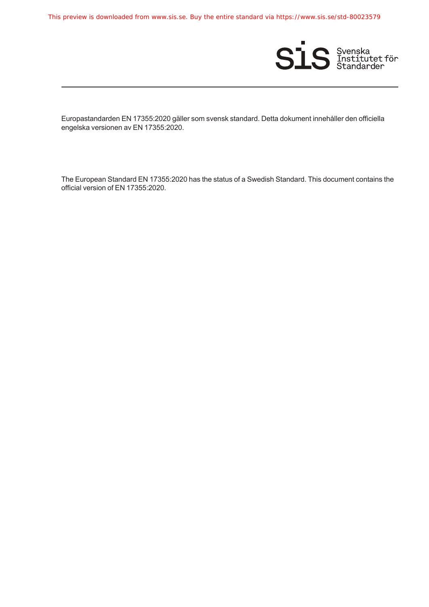This preview is downloaded from www.sis.se. Buy the entire standard via https://www.sis.se/std-80023579



Europastandarden EN 17355:2020 gäller som svensk standard. Detta dokument innehåller den officiella engelska versionen av EN 17355:2020.

The European Standard EN 17355:2020 has the status of a Swedish Standard. This document contains the official version of EN 17355:2020.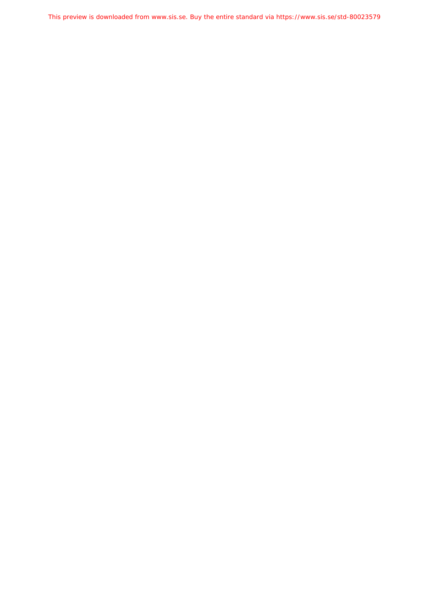This preview is downloaded from www.sis.se. Buy the entire standard via https://www.sis.se/std-80023579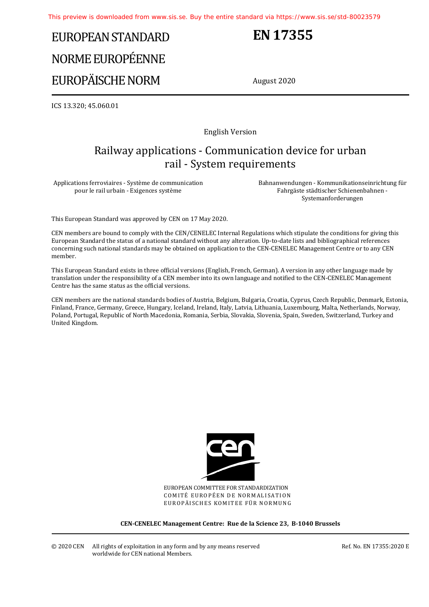# EUROPEAN STANDARD NORME EUROPÉENNE EUROPÄISCHE NORM

# **EN 17355**

August 2020

ICS 13.320; 45.060.01

English Version

## Railway applications - Communication device for urban rail - System requirements

Applications ferroviaires - Système de communication pour le rail urbain - Exigences système

 Bahnanwendungen - Kommunikationseinrichtung für Fahrgäste städtischer Schienenbahnen - Systemanforderungen

This European Standard was approved by CEN on 17 May 2020.

CEN members are bound to comply with the CEN/CENELEC Internal Regulations which stipulate the conditions for giving this European Standard the status of a national standard without any alteration. Up-to-date lists and bibliographical references concerning such national standards may be obtained on application to the CEN-CENELEC Management Centre or to any CEN member.

This European Standard exists in three official versions (English, French, German). A version in any other language made by translation under the responsibility of a CEN member into its own language and notified to the CEN-CENELEC Management Centre has the same status as the official versions.

CEN members are the national standards bodies of Austria, Belgium, Bulgaria, Croatia, Cyprus, Czech Republic, Denmark, Estonia, Finland, France, Germany, Greece, Hungary, Iceland, Ireland, Italy, Latvia, Lithuania, Luxembourg, Malta, Netherlands, Norway, Poland, Portugal, Republic of North Macedonia, Romania, Serbia, Slovakia, Slovenia, Spain, Sweden, Switzerland, Turkey and United Kingdom.



EUROPEAN COMMITTEE FOR STANDARDIZATION COMITÉ EUROPÉEN DE NORMALISATION EUROPÄISCHES KOMITEE FÜR NORMUNG

**CEN-CENELEC Management Centre: Rue de la Science 23, B-1040 Brussels**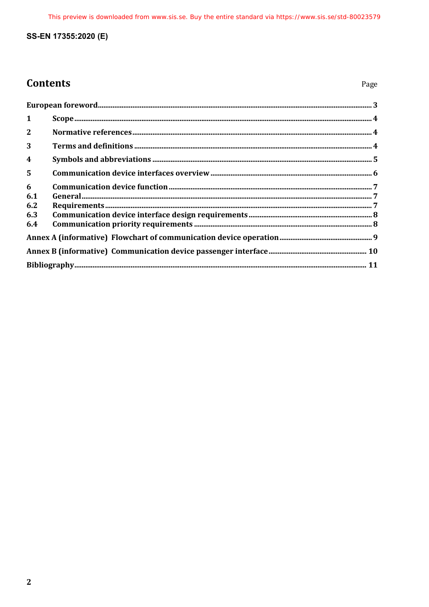### SS-EN 17355:2020 (E)

# **Contents**

| $\mathbf{1}$            |  |  |
|-------------------------|--|--|
| $\overline{2}$          |  |  |
| 3                       |  |  |
| $\overline{\mathbf{4}}$ |  |  |
| $\overline{5}$          |  |  |
| 6                       |  |  |
| 6.1                     |  |  |
| 6.2                     |  |  |
| 6.3                     |  |  |
| 6.4                     |  |  |
|                         |  |  |
|                         |  |  |
|                         |  |  |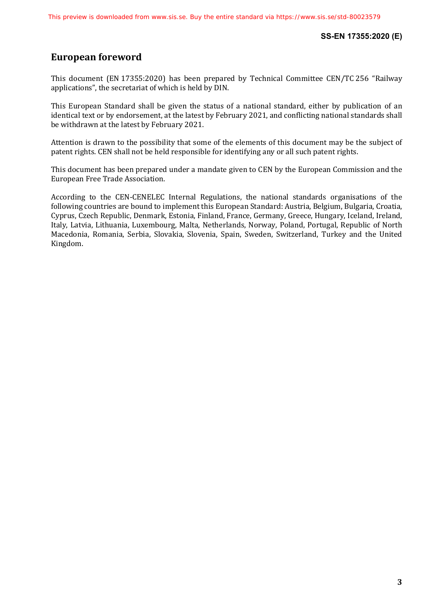### **SS-EN 17355:2020 (E)**

## <span id="page-6-0"></span>**European foreword**

This document (EN 17355:2020) has been prepared by Technical Committee CEN/TC 256 "Railway applications", the secretariat of which is held by DIN.

This European Standard shall be given the status of a national standard, either by publication of an identical text or by endorsement, at the latest by February 2021, and conflicting national standards shall be withdrawn at the latest by February 2021.

Attention is drawn to the possibility that some of the elements of this document may be the subject of patent rights. CEN shall not be held responsible for identifying any or all such patent rights.

This document has been prepared under a mandate given to CEN by the European Commission and the European Free Trade Association.

According to the CEN-CENELEC Internal Regulations, the national standards organisations of the following countries are bound to implement this European Standard: Austria, Belgium, Bulgaria, Croatia, Cyprus, Czech Republic, Denmark, Estonia, Finland, France, Germany, Greece, Hungary, Iceland, Ireland, Italy, Latvia, Lithuania, Luxembourg, Malta, Netherlands, Norway, Poland, Portugal, Republic of North Macedonia, Romania, Serbia, Slovakia, Slovenia, Spain, Sweden, Switzerland, Turkey and the United Kingdom.